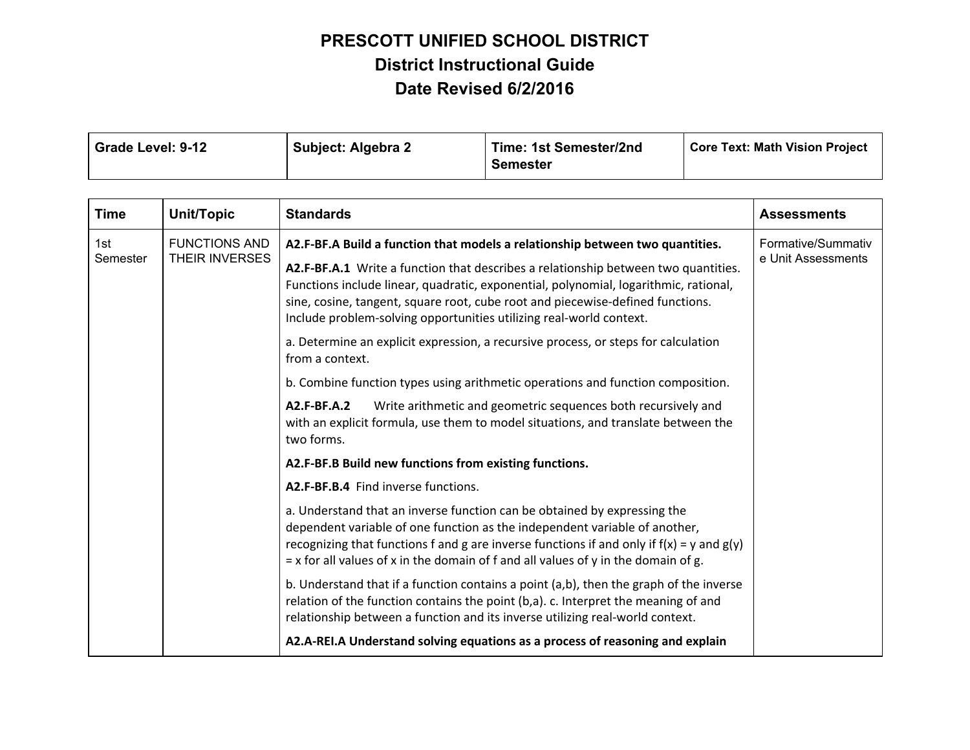| Grade Level: 9-12 | Subject: Algebra 2 | Time: 1st Semester/2nd | <b>Core Text: Math Vision Project</b> |
|-------------------|--------------------|------------------------|---------------------------------------|
|                   |                    | <b>Semester</b>        |                                       |

| <b>Time</b>     | Unit/Topic | <b>Standards</b>                                                                                                                                                                                                                                                                                                                                  | <b>Assessments</b>                                                                                                                                                                                                                                                                                                                                                                                                   |                                          |
|-----------------|------------|---------------------------------------------------------------------------------------------------------------------------------------------------------------------------------------------------------------------------------------------------------------------------------------------------------------------------------------------------|----------------------------------------------------------------------------------------------------------------------------------------------------------------------------------------------------------------------------------------------------------------------------------------------------------------------------------------------------------------------------------------------------------------------|------------------------------------------|
| 1st<br>Semester |            | <b>FUNCTIONS AND</b><br><b>THEIR INVERSES</b>                                                                                                                                                                                                                                                                                                     | A2.F-BF.A Build a function that models a relationship between two quantities.<br>A2.F-BF.A.1 Write a function that describes a relationship between two quantities.<br>Functions include linear, quadratic, exponential, polynomial, logarithmic, rational,<br>sine, cosine, tangent, square root, cube root and piecewise-defined functions.<br>Include problem-solving opportunities utilizing real-world context. | Formative/Summativ<br>e Unit Assessments |
|                 |            | a. Determine an explicit expression, a recursive process, or steps for calculation<br>from a context.                                                                                                                                                                                                                                             |                                                                                                                                                                                                                                                                                                                                                                                                                      |                                          |
|                 |            | b. Combine function types using arithmetic operations and function composition.                                                                                                                                                                                                                                                                   |                                                                                                                                                                                                                                                                                                                                                                                                                      |                                          |
|                 |            | A2.F-BF.A.2<br>Write arithmetic and geometric sequences both recursively and<br>with an explicit formula, use them to model situations, and translate between the<br>two forms.                                                                                                                                                                   |                                                                                                                                                                                                                                                                                                                                                                                                                      |                                          |
|                 |            | A2.F-BF.B Build new functions from existing functions.                                                                                                                                                                                                                                                                                            |                                                                                                                                                                                                                                                                                                                                                                                                                      |                                          |
|                 |            | A2.F-BF.B.4 Find inverse functions.                                                                                                                                                                                                                                                                                                               |                                                                                                                                                                                                                                                                                                                                                                                                                      |                                          |
|                 |            | a. Understand that an inverse function can be obtained by expressing the<br>dependent variable of one function as the independent variable of another,<br>recognizing that functions f and g are inverse functions if and only if $f(x) = y$ and $g(y)$<br>$x = x$ for all values of x in the domain of f and all values of y in the domain of g. |                                                                                                                                                                                                                                                                                                                                                                                                                      |                                          |
|                 |            | b. Understand that if a function contains a point (a,b), then the graph of the inverse<br>relation of the function contains the point (b,a). c. Interpret the meaning of and<br>relationship between a function and its inverse utilizing real-world context.                                                                                     |                                                                                                                                                                                                                                                                                                                                                                                                                      |                                          |
|                 |            | A2.A-REI.A Understand solving equations as a process of reasoning and explain                                                                                                                                                                                                                                                                     |                                                                                                                                                                                                                                                                                                                                                                                                                      |                                          |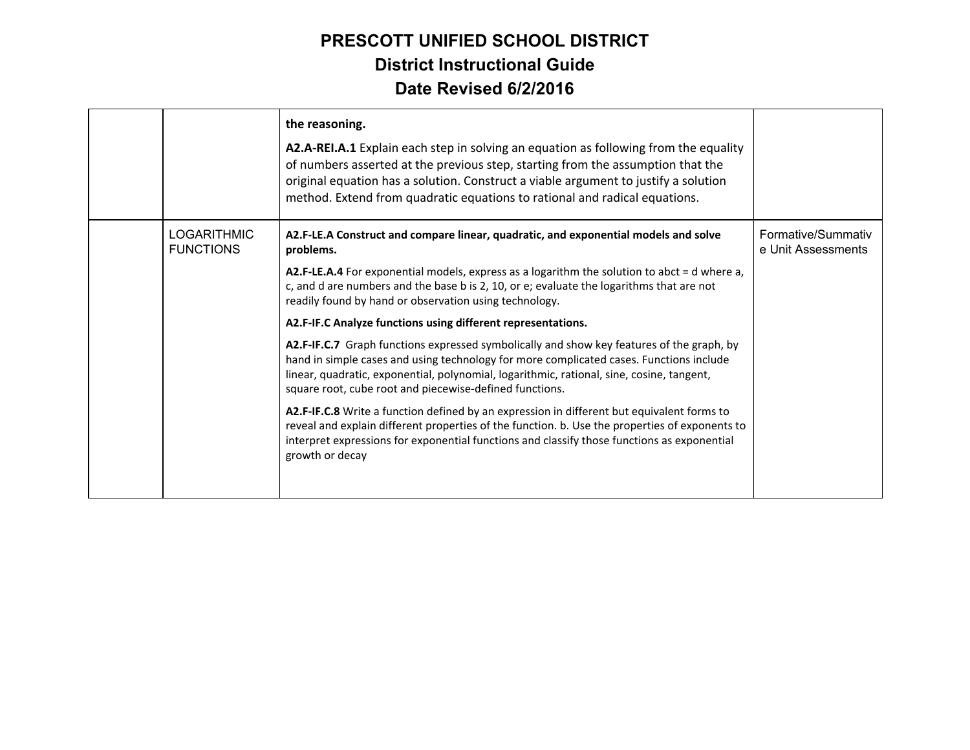|                                        | the reasoning.<br>A2.A-REI.A.1 Explain each step in solving an equation as following from the equality<br>of numbers asserted at the previous step, starting from the assumption that the<br>original equation has a solution. Construct a viable argument to justify a solution<br>method. Extend from quadratic equations to rational and radical equations. |                                          |
|----------------------------------------|----------------------------------------------------------------------------------------------------------------------------------------------------------------------------------------------------------------------------------------------------------------------------------------------------------------------------------------------------------------|------------------------------------------|
| <b>LOGARITHMIC</b><br><b>FUNCTIONS</b> | A2.F-LE.A Construct and compare linear, quadratic, and exponential models and solve<br>problems.                                                                                                                                                                                                                                                               | Formative/Summativ<br>e Unit Assessments |
|                                        | A2.F-LE.A.4 For exponential models, express as a logarithm the solution to abct = d where a,<br>c, and d are numbers and the base b is 2, 10, or e; evaluate the logarithms that are not<br>readily found by hand or observation using technology.                                                                                                             |                                          |
|                                        | A2.F-IF.C Analyze functions using different representations.                                                                                                                                                                                                                                                                                                   |                                          |
|                                        | A2.F-IF.C.7 Graph functions expressed symbolically and show key features of the graph, by<br>hand in simple cases and using technology for more complicated cases. Functions include<br>linear, quadratic, exponential, polynomial, logarithmic, rational, sine, cosine, tangent,<br>square root, cube root and piecewise-defined functions.                   |                                          |
|                                        | A2.F-IF.C.8 Write a function defined by an expression in different but equivalent forms to<br>reveal and explain different properties of the function. b. Use the properties of exponents to<br>interpret expressions for exponential functions and classify those functions as exponential<br>growth or decay                                                 |                                          |
|                                        |                                                                                                                                                                                                                                                                                                                                                                |                                          |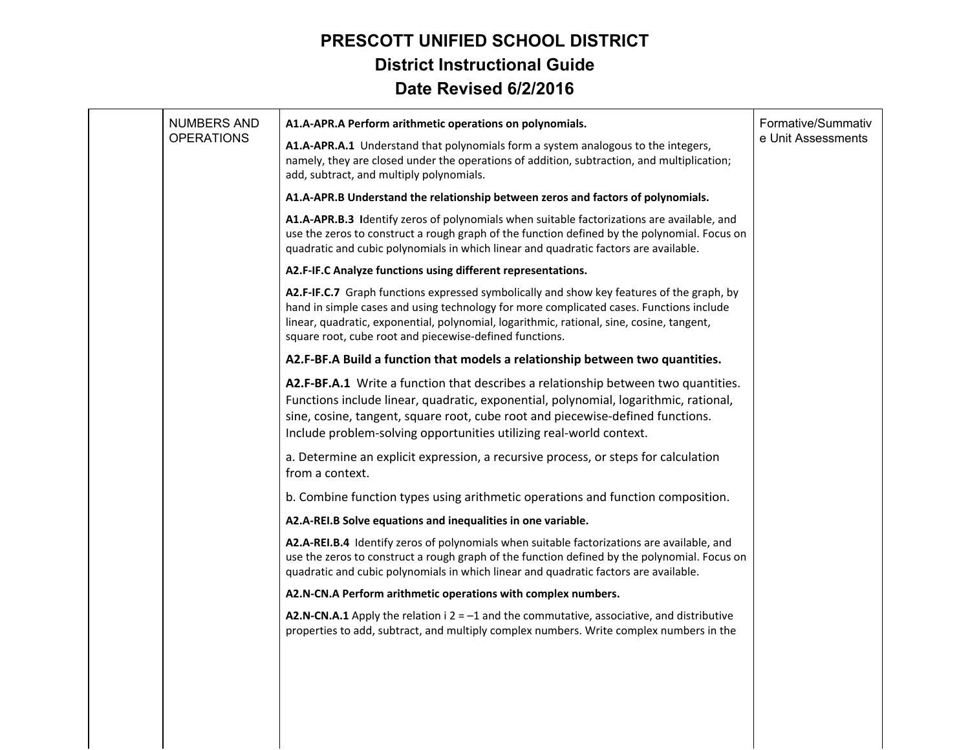| NUMBERS AND       | A1.A-APR.A Perform arithmetic operations on polynomials.                                                                                                                                                                                                                                                                                     | Formative/Summativ |
|-------------------|----------------------------------------------------------------------------------------------------------------------------------------------------------------------------------------------------------------------------------------------------------------------------------------------------------------------------------------------|--------------------|
| <b>OPERATIONS</b> | A1.A-APR.A.1 Understand that polynomials form a system analogous to the integers,<br>namely, they are closed under the operations of addition, subtraction, and multiplication;<br>add, subtract, and multiply polynomials.                                                                                                                  | e Unit Assessments |
|                   | A1.A-APR.B Understand the relationship between zeros and factors of polynomials.                                                                                                                                                                                                                                                             |                    |
|                   | A1.A-APR.B.3 Identify zeros of polynomials when suitable factorizations are available, and<br>use the zeros to construct a rough graph of the function defined by the polynomial. Focus on<br>quadratic and cubic polynomials in which linear and quadratic factors are available.                                                           |                    |
|                   | A2.F-IF.C Analyze functions using different representations.                                                                                                                                                                                                                                                                                 |                    |
|                   | A2.F-IF.C.7 Graph functions expressed symbolically and show key features of the graph, by<br>hand in simple cases and using technology for more complicated cases. Functions include<br>linear, quadratic, exponential, polynomial, logarithmic, rational, sine, cosine, tangent,<br>square root, cube root and piecewise-defined functions. |                    |
|                   | A2.F-BF.A Build a function that models a relationship between two quantities.                                                                                                                                                                                                                                                                |                    |
|                   | A2.F-BF.A.1 Write a function that describes a relationship between two quantities.<br>Functions include linear, quadratic, exponential, polynomial, logarithmic, rational,<br>sine, cosine, tangent, square root, cube root and piecewise-defined functions.<br>Include problem-solving opportunities utilizing real-world context.          |                    |
|                   | a. Determine an explicit expression, a recursive process, or steps for calculation<br>from a context.                                                                                                                                                                                                                                        |                    |
|                   | b. Combine function types using arithmetic operations and function composition.                                                                                                                                                                                                                                                              |                    |
|                   | A2.A-REI.B Solve equations and inequalities in one variable.                                                                                                                                                                                                                                                                                 |                    |
|                   | A2.A-REI.B.4 Identify zeros of polynomials when suitable factorizations are available, and<br>use the zeros to construct a rough graph of the function defined by the polynomial. Focus on<br>quadratic and cubic polynomials in which linear and quadratic factors are available.                                                           |                    |
|                   | A2.N-CN.A Perform arithmetic operations with complex numbers.                                                                                                                                                                                                                                                                                |                    |
|                   | A2.N-CN.A.1 Apply the relation $i$ 2 = -1 and the commutative, associative, and distributive<br>properties to add, subtract, and multiply complex numbers. Write complex numbers in the                                                                                                                                                      |                    |
|                   |                                                                                                                                                                                                                                                                                                                                              |                    |
|                   |                                                                                                                                                                                                                                                                                                                                              |                    |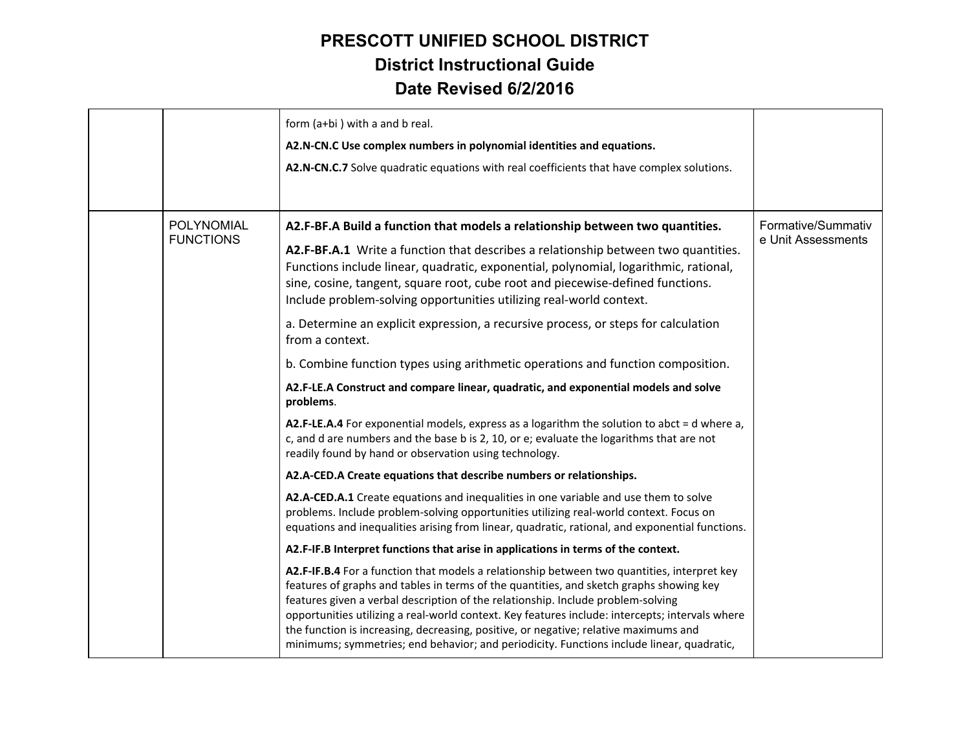|                                | form (a+bi) with a and b real.<br>A2.N-CN.C Use complex numbers in polynomial identities and equations.<br>A2.N-CN.C.7 Solve quadratic equations with real coefficients that have complex solutions.                                                                                                                                                                                                                                                                                                                                                               |                                          |
|--------------------------------|--------------------------------------------------------------------------------------------------------------------------------------------------------------------------------------------------------------------------------------------------------------------------------------------------------------------------------------------------------------------------------------------------------------------------------------------------------------------------------------------------------------------------------------------------------------------|------------------------------------------|
| POLYNOMIAL<br><b>FUNCTIONS</b> | A2.F-BF.A Build a function that models a relationship between two quantities.<br>A2.F-BF.A.1 Write a function that describes a relationship between two quantities.<br>Functions include linear, quadratic, exponential, polynomial, logarithmic, rational,<br>sine, cosine, tangent, square root, cube root and piecewise-defined functions.<br>Include problem-solving opportunities utilizing real-world context.                                                                                                                                               | Formative/Summativ<br>e Unit Assessments |
|                                | a. Determine an explicit expression, a recursive process, or steps for calculation<br>from a context.                                                                                                                                                                                                                                                                                                                                                                                                                                                              |                                          |
|                                | b. Combine function types using arithmetic operations and function composition.                                                                                                                                                                                                                                                                                                                                                                                                                                                                                    |                                          |
|                                | A2.F-LE.A Construct and compare linear, quadratic, and exponential models and solve<br>problems.                                                                                                                                                                                                                                                                                                                                                                                                                                                                   |                                          |
|                                | A2.F-LE.A.4 For exponential models, express as a logarithm the solution to abct = d where a,<br>c, and d are numbers and the base b is 2, 10, or e; evaluate the logarithms that are not<br>readily found by hand or observation using technology.                                                                                                                                                                                                                                                                                                                 |                                          |
|                                | A2.A-CED.A Create equations that describe numbers or relationships.                                                                                                                                                                                                                                                                                                                                                                                                                                                                                                |                                          |
|                                | A2.A-CED.A.1 Create equations and inequalities in one variable and use them to solve<br>problems. Include problem-solving opportunities utilizing real-world context. Focus on<br>equations and inequalities arising from linear, quadratic, rational, and exponential functions.                                                                                                                                                                                                                                                                                  |                                          |
|                                | A2.F-IF.B Interpret functions that arise in applications in terms of the context.                                                                                                                                                                                                                                                                                                                                                                                                                                                                                  |                                          |
|                                | A2.F-IF.B.4 For a function that models a relationship between two quantities, interpret key<br>features of graphs and tables in terms of the quantities, and sketch graphs showing key<br>features given a verbal description of the relationship. Include problem-solving<br>opportunities utilizing a real-world context. Key features include: intercepts; intervals where<br>the function is increasing, decreasing, positive, or negative; relative maximums and<br>minimums; symmetries; end behavior; and periodicity. Functions include linear, quadratic, |                                          |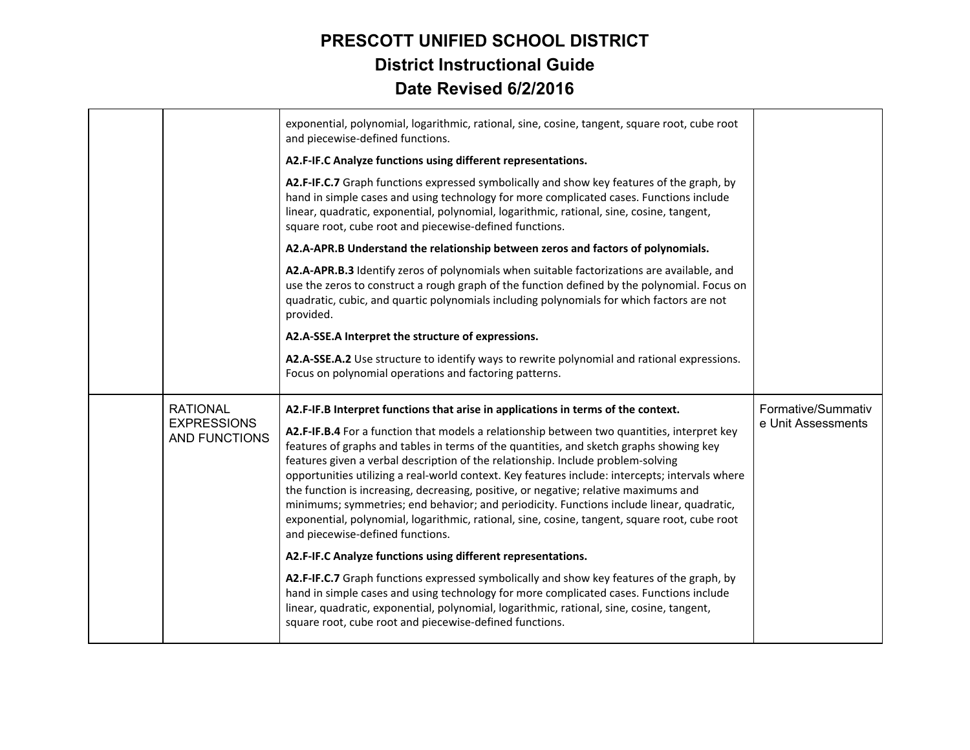|                                                               | exponential, polynomial, logarithmic, rational, sine, cosine, tangent, square root, cube root<br>and piecewise-defined functions.<br>A2.F-IF.C Analyze functions using different representations.                                                                                                                                                                                                                                                                                                                                                                                                                                                                                                                                                                                            |                                          |
|---------------------------------------------------------------|----------------------------------------------------------------------------------------------------------------------------------------------------------------------------------------------------------------------------------------------------------------------------------------------------------------------------------------------------------------------------------------------------------------------------------------------------------------------------------------------------------------------------------------------------------------------------------------------------------------------------------------------------------------------------------------------------------------------------------------------------------------------------------------------|------------------------------------------|
|                                                               | A2.F-IF.C.7 Graph functions expressed symbolically and show key features of the graph, by<br>hand in simple cases and using technology for more complicated cases. Functions include<br>linear, quadratic, exponential, polynomial, logarithmic, rational, sine, cosine, tangent,<br>square root, cube root and piecewise-defined functions.                                                                                                                                                                                                                                                                                                                                                                                                                                                 |                                          |
|                                                               | A2.A-APR.B Understand the relationship between zeros and factors of polynomials.                                                                                                                                                                                                                                                                                                                                                                                                                                                                                                                                                                                                                                                                                                             |                                          |
|                                                               | A2.A-APR.B.3 Identify zeros of polynomials when suitable factorizations are available, and<br>use the zeros to construct a rough graph of the function defined by the polynomial. Focus on<br>quadratic, cubic, and quartic polynomials including polynomials for which factors are not<br>provided.                                                                                                                                                                                                                                                                                                                                                                                                                                                                                         |                                          |
|                                                               | A2.A-SSE.A Interpret the structure of expressions.                                                                                                                                                                                                                                                                                                                                                                                                                                                                                                                                                                                                                                                                                                                                           |                                          |
|                                                               | A2.A-SSE.A.2 Use structure to identify ways to rewrite polynomial and rational expressions.<br>Focus on polynomial operations and factoring patterns.                                                                                                                                                                                                                                                                                                                                                                                                                                                                                                                                                                                                                                        |                                          |
| <b>RATIONAL</b><br><b>EXPRESSIONS</b><br><b>AND FUNCTIONS</b> | A2.F-IF.B Interpret functions that arise in applications in terms of the context.<br>A2.F-IF.B.4 For a function that models a relationship between two quantities, interpret key<br>features of graphs and tables in terms of the quantities, and sketch graphs showing key<br>features given a verbal description of the relationship. Include problem-solving<br>opportunities utilizing a real-world context. Key features include: intercepts; intervals where<br>the function is increasing, decreasing, positive, or negative; relative maximums and<br>minimums; symmetries; end behavior; and periodicity. Functions include linear, quadratic,<br>exponential, polynomial, logarithmic, rational, sine, cosine, tangent, square root, cube root<br>and piecewise-defined functions. | Formative/Summativ<br>e Unit Assessments |
|                                                               | A2.F-IF.C Analyze functions using different representations.                                                                                                                                                                                                                                                                                                                                                                                                                                                                                                                                                                                                                                                                                                                                 |                                          |
|                                                               | A2.F-IF.C.7 Graph functions expressed symbolically and show key features of the graph, by<br>hand in simple cases and using technology for more complicated cases. Functions include<br>linear, quadratic, exponential, polynomial, logarithmic, rational, sine, cosine, tangent,<br>square root, cube root and piecewise-defined functions.                                                                                                                                                                                                                                                                                                                                                                                                                                                 |                                          |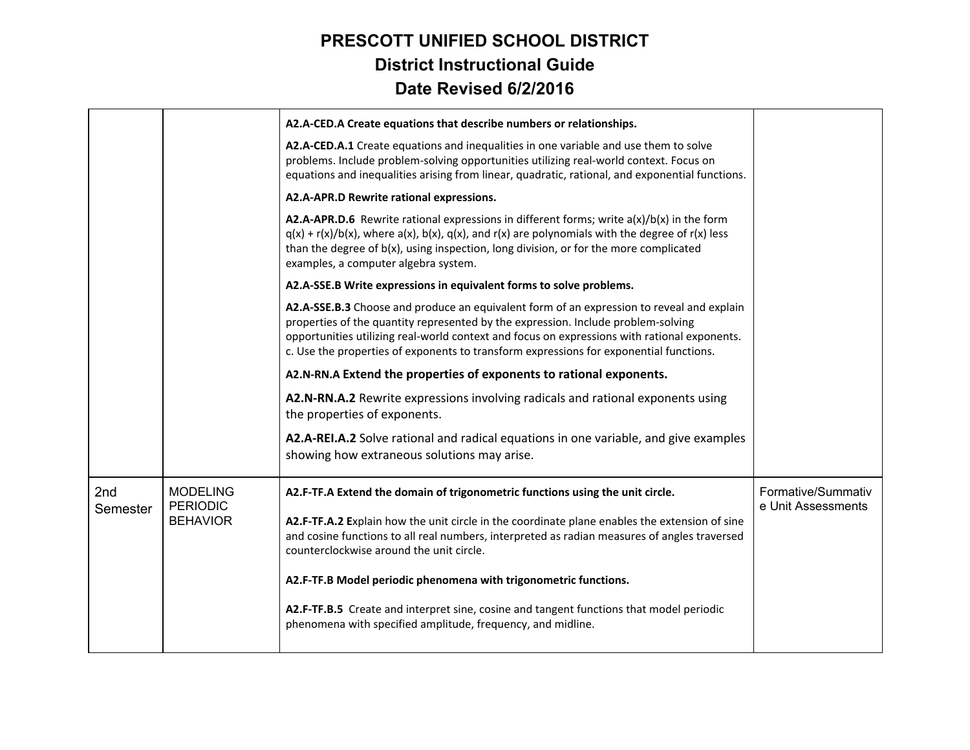|                 |                                    | A2.A-CED.A Create equations that describe numbers or relationships.                                                                                                                                                                                                                                                                                                      |                                          |
|-----------------|------------------------------------|--------------------------------------------------------------------------------------------------------------------------------------------------------------------------------------------------------------------------------------------------------------------------------------------------------------------------------------------------------------------------|------------------------------------------|
|                 |                                    | A2.A-CED.A.1 Create equations and inequalities in one variable and use them to solve<br>problems. Include problem-solving opportunities utilizing real-world context. Focus on<br>equations and inequalities arising from linear, quadratic, rational, and exponential functions.                                                                                        |                                          |
|                 |                                    | A2.A-APR.D Rewrite rational expressions.                                                                                                                                                                                                                                                                                                                                 |                                          |
|                 |                                    | A2.A-APR.D.6 Rewrite rational expressions in different forms; write $a(x)/b(x)$ in the form<br>$q(x) + r(x)/b(x)$ , where $a(x)$ , $b(x)$ , $q(x)$ , and $r(x)$ are polynomials with the degree of $r(x)$ less<br>than the degree of $b(x)$ , using inspection, long division, or for the more complicated<br>examples, a computer algebra system.                       |                                          |
|                 |                                    | A2.A-SSE.B Write expressions in equivalent forms to solve problems.                                                                                                                                                                                                                                                                                                      |                                          |
|                 |                                    | A2.A-SSE.B.3 Choose and produce an equivalent form of an expression to reveal and explain<br>properties of the quantity represented by the expression. Include problem-solving<br>opportunities utilizing real-world context and focus on expressions with rational exponents.<br>c. Use the properties of exponents to transform expressions for exponential functions. |                                          |
|                 |                                    | A2.N-RN.A Extend the properties of exponents to rational exponents.                                                                                                                                                                                                                                                                                                      |                                          |
|                 |                                    | A2.N-RN.A.2 Rewrite expressions involving radicals and rational exponents using<br>the properties of exponents.                                                                                                                                                                                                                                                          |                                          |
|                 |                                    | A2.A-REI.A.2 Solve rational and radical equations in one variable, and give examples<br>showing how extraneous solutions may arise.                                                                                                                                                                                                                                      |                                          |
| 2nd<br>Semester | <b>MODELING</b><br><b>PERIODIC</b> | A2.F-TF.A Extend the domain of trigonometric functions using the unit circle.                                                                                                                                                                                                                                                                                            | Formative/Summativ<br>e Unit Assessments |
|                 | <b>BEHAVIOR</b>                    | A2.F-TF.A.2 Explain how the unit circle in the coordinate plane enables the extension of sine<br>and cosine functions to all real numbers, interpreted as radian measures of angles traversed<br>counterclockwise around the unit circle.                                                                                                                                |                                          |
|                 |                                    | A2.F-TF.B Model periodic phenomena with trigonometric functions.                                                                                                                                                                                                                                                                                                         |                                          |
|                 |                                    | A2.F-TF.B.5 Create and interpret sine, cosine and tangent functions that model periodic<br>phenomena with specified amplitude, frequency, and midline.                                                                                                                                                                                                                   |                                          |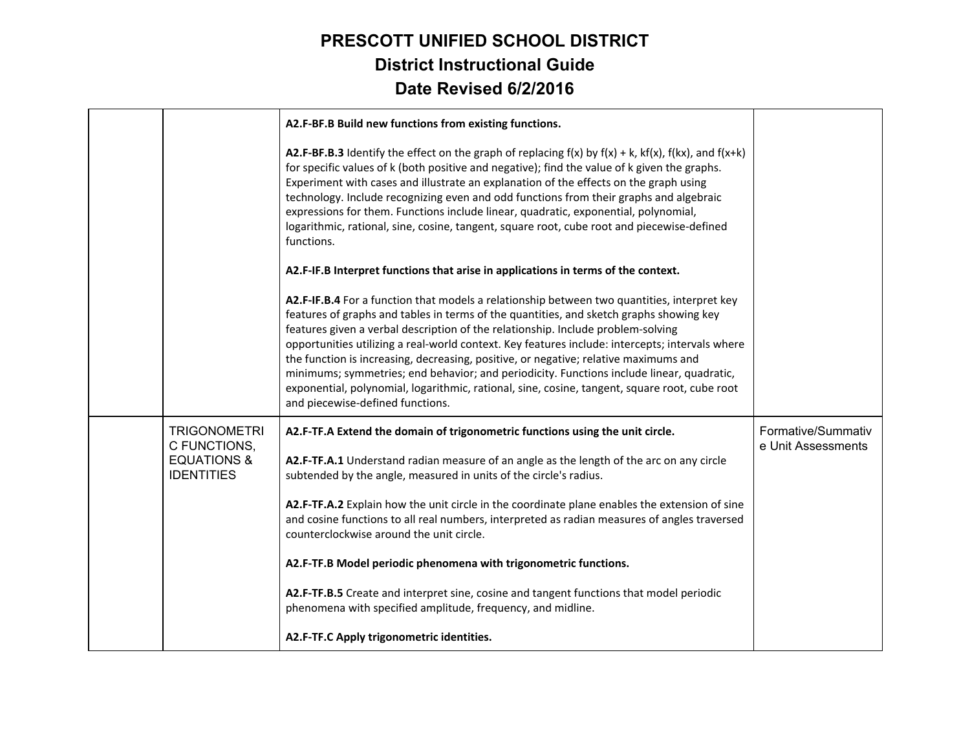|                                                                                    | A2.F-BF.B Build new functions from existing functions.                                                                                                                                                                                                                                                                                                                                                                                                                                                                                                                                                                                                                                                                    |                                          |
|------------------------------------------------------------------------------------|---------------------------------------------------------------------------------------------------------------------------------------------------------------------------------------------------------------------------------------------------------------------------------------------------------------------------------------------------------------------------------------------------------------------------------------------------------------------------------------------------------------------------------------------------------------------------------------------------------------------------------------------------------------------------------------------------------------------------|------------------------------------------|
|                                                                                    | <b>A2.F-BF.B.3</b> Identify the effect on the graph of replacing $f(x)$ by $f(x) + k$ , $kf(x)$ , $f(kx)$ , and $f(x+k)$<br>for specific values of k (both positive and negative); find the value of k given the graphs.<br>Experiment with cases and illustrate an explanation of the effects on the graph using<br>technology. Include recognizing even and odd functions from their graphs and algebraic<br>expressions for them. Functions include linear, quadratic, exponential, polynomial,<br>logarithmic, rational, sine, cosine, tangent, square root, cube root and piecewise-defined<br>functions.                                                                                                            |                                          |
|                                                                                    | A2.F-IF.B Interpret functions that arise in applications in terms of the context.                                                                                                                                                                                                                                                                                                                                                                                                                                                                                                                                                                                                                                         |                                          |
|                                                                                    | A2.F-IF.B.4 For a function that models a relationship between two quantities, interpret key<br>features of graphs and tables in terms of the quantities, and sketch graphs showing key<br>features given a verbal description of the relationship. Include problem-solving<br>opportunities utilizing a real-world context. Key features include: intercepts; intervals where<br>the function is increasing, decreasing, positive, or negative; relative maximums and<br>minimums; symmetries; end behavior; and periodicity. Functions include linear, quadratic,<br>exponential, polynomial, logarithmic, rational, sine, cosine, tangent, square root, cube root<br>and piecewise-defined functions.                   |                                          |
| <b>TRIGONOMETRI</b><br>C FUNCTIONS,<br><b>EQUATIONS &amp;</b><br><b>IDENTITIES</b> | A2.F-TF.A Extend the domain of trigonometric functions using the unit circle.<br>A2.F-TF.A.1 Understand radian measure of an angle as the length of the arc on any circle<br>subtended by the angle, measured in units of the circle's radius.<br>A2.F-TF.A.2 Explain how the unit circle in the coordinate plane enables the extension of sine<br>and cosine functions to all real numbers, interpreted as radian measures of angles traversed<br>counterclockwise around the unit circle.<br>A2.F-TF.B Model periodic phenomena with trigonometric functions.<br>A2.F-TF.B.5 Create and interpret sine, cosine and tangent functions that model periodic<br>phenomena with specified amplitude, frequency, and midline. | Formative/Summativ<br>e Unit Assessments |
|                                                                                    | A2.F-TF.C Apply trigonometric identities.                                                                                                                                                                                                                                                                                                                                                                                                                                                                                                                                                                                                                                                                                 |                                          |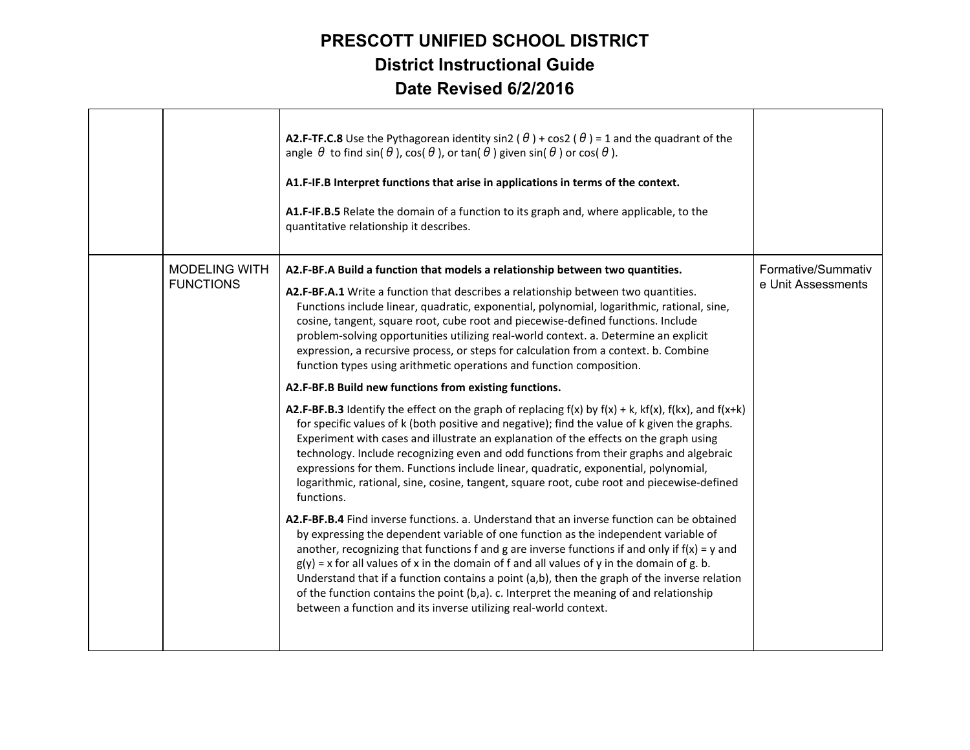|                                          | <b>A2.F-TF.C.8</b> Use the Pythagorean identity sin2 ( $\theta$ ) + cos2 ( $\theta$ ) = 1 and the quadrant of the<br>angle $\theta$ to find sin( $\theta$ ), cos( $\theta$ ), or tan( $\theta$ ) given sin( $\theta$ ) or cos( $\theta$ ).<br>A1.F-IF.B Interpret functions that arise in applications in terms of the context.<br>A1.F-IF.B.5 Relate the domain of a function to its graph and, where applicable, to the<br>quantitative relationship it describes.                                                                                                                                                                                                    |                                          |
|------------------------------------------|-------------------------------------------------------------------------------------------------------------------------------------------------------------------------------------------------------------------------------------------------------------------------------------------------------------------------------------------------------------------------------------------------------------------------------------------------------------------------------------------------------------------------------------------------------------------------------------------------------------------------------------------------------------------------|------------------------------------------|
| <b>MODELING WITH</b><br><b>FUNCTIONS</b> | A2.F-BF.A Build a function that models a relationship between two quantities.<br>A2.F-BF.A.1 Write a function that describes a relationship between two quantities.<br>Functions include linear, quadratic, exponential, polynomial, logarithmic, rational, sine,<br>cosine, tangent, square root, cube root and piecewise-defined functions. Include<br>problem-solving opportunities utilizing real-world context. a. Determine an explicit<br>expression, a recursive process, or steps for calculation from a context. b. Combine<br>function types using arithmetic operations and function composition.<br>A2.F-BF.B Build new functions from existing functions. | Formative/Summativ<br>e Unit Assessments |
|                                          | A2.F-BF.B.3 Identify the effect on the graph of replacing $f(x)$ by $f(x) + k$ , $kf(x)$ , $f(kx)$ , and $f(x+k)$<br>for specific values of k (both positive and negative); find the value of k given the graphs.<br>Experiment with cases and illustrate an explanation of the effects on the graph using<br>technology. Include recognizing even and odd functions from their graphs and algebraic<br>expressions for them. Functions include linear, quadratic, exponential, polynomial,<br>logarithmic, rational, sine, cosine, tangent, square root, cube root and piecewise-defined<br>functions.                                                                 |                                          |
|                                          | A2.F-BF.B.4 Find inverse functions. a. Understand that an inverse function can be obtained<br>by expressing the dependent variable of one function as the independent variable of<br>another, recognizing that functions f and g are inverse functions if and only if $f(x) = y$ and<br>$g(y)$ = x for all values of x in the domain of f and all values of y in the domain of g. b.<br>Understand that if a function contains a point (a,b), then the graph of the inverse relation<br>of the function contains the point (b,a). c. Interpret the meaning of and relationship<br>between a function and its inverse utilizing real-world context.                      |                                          |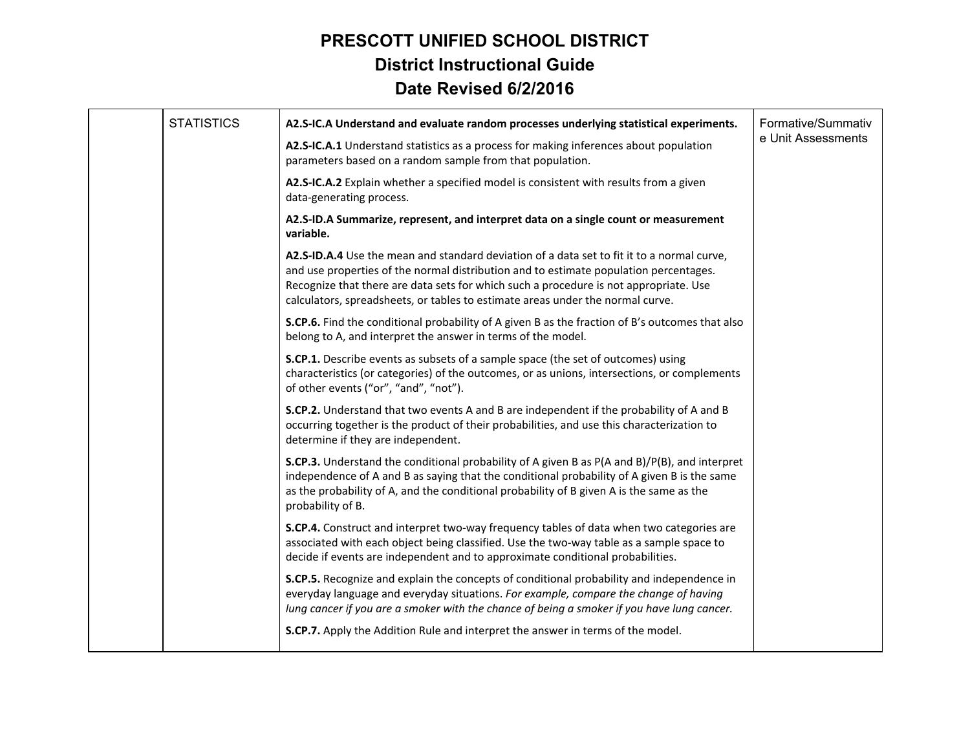| <b>STATISTICS</b> | A2.S-IC.A Understand and evaluate random processes underlying statistical experiments.                                                                                                                                                                                                                                                                         | Formative/Summativ |
|-------------------|----------------------------------------------------------------------------------------------------------------------------------------------------------------------------------------------------------------------------------------------------------------------------------------------------------------------------------------------------------------|--------------------|
|                   | A2.S-IC.A.1 Understand statistics as a process for making inferences about population<br>parameters based on a random sample from that population.                                                                                                                                                                                                             | e Unit Assessments |
|                   | A2.S-IC.A.2 Explain whether a specified model is consistent with results from a given<br>data-generating process.                                                                                                                                                                                                                                              |                    |
|                   | A2.S-ID.A Summarize, represent, and interpret data on a single count or measurement<br>variable.                                                                                                                                                                                                                                                               |                    |
|                   | A2.S-ID.A.4 Use the mean and standard deviation of a data set to fit it to a normal curve,<br>and use properties of the normal distribution and to estimate population percentages.<br>Recognize that there are data sets for which such a procedure is not appropriate. Use<br>calculators, spreadsheets, or tables to estimate areas under the normal curve. |                    |
|                   | <b>S.CP.6.</b> Find the conditional probability of A given B as the fraction of B's outcomes that also<br>belong to A, and interpret the answer in terms of the model.                                                                                                                                                                                         |                    |
|                   | S.CP.1. Describe events as subsets of a sample space (the set of outcomes) using<br>characteristics (or categories) of the outcomes, or as unions, intersections, or complements<br>of other events ("or", "and", "not").                                                                                                                                      |                    |
|                   | <b>S.CP.2.</b> Understand that two events A and B are independent if the probability of A and B<br>occurring together is the product of their probabilities, and use this characterization to<br>determine if they are independent.                                                                                                                            |                    |
|                   | <b>S.CP.3.</b> Understand the conditional probability of A given B as P(A and B)/P(B), and interpret<br>independence of A and B as saying that the conditional probability of A given B is the same<br>as the probability of A, and the conditional probability of B given A is the same as the<br>probability of B.                                           |                    |
|                   | S.CP.4. Construct and interpret two-way frequency tables of data when two categories are<br>associated with each object being classified. Use the two-way table as a sample space to<br>decide if events are independent and to approximate conditional probabilities.                                                                                         |                    |
|                   | S.CP.5. Recognize and explain the concepts of conditional probability and independence in<br>everyday language and everyday situations. For example, compare the change of having<br>lung cancer if you are a smoker with the chance of being a smoker if you have lung cancer.                                                                                |                    |
|                   | S.CP.7. Apply the Addition Rule and interpret the answer in terms of the model.                                                                                                                                                                                                                                                                                |                    |